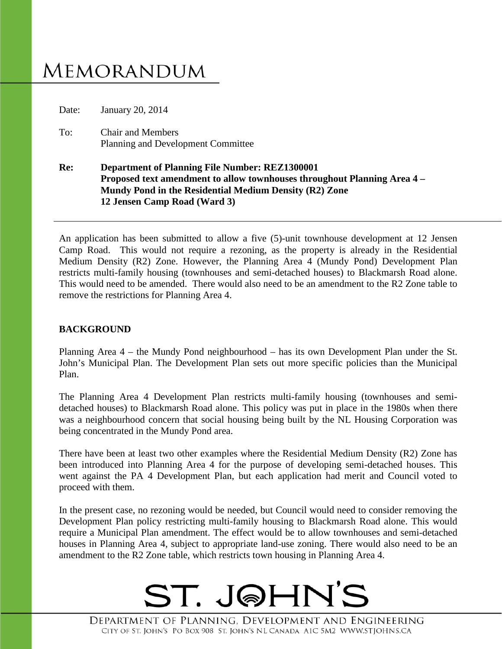# **MEMORANDUM**

Date: January 20, 2014

To: Chair and Members Planning and Development Committee

### **Re: Department of Planning File Number: REZ1300001 Proposed text amendment to allow townhouses throughout Planning Area 4 – Mundy Pond in the Residential Medium Density (R2) Zone 12 Jensen Camp Road (Ward 3)**

An application has been submitted to allow a five (5)-unit townhouse development at 12 Jensen Camp Road. This would not require a rezoning, as the property is already in the Residential Medium Density (R2) Zone. However, the Planning Area 4 (Mundy Pond) Development Plan restricts multi-family housing (townhouses and semi-detached houses) to Blackmarsh Road alone. This would need to be amended. There would also need to be an amendment to the R2 Zone table to remove the restrictions for Planning Area 4.

## **BACKGROUND**

Planning Area 4 – the Mundy Pond neighbourhood – has its own Development Plan under the St. John's Municipal Plan. The Development Plan sets out more specific policies than the Municipal Plan.

The Planning Area 4 Development Plan restricts multi-family housing (townhouses and semidetached houses) to Blackmarsh Road alone. This policy was put in place in the 1980s when there was a neighbourhood concern that social housing being built by the NL Housing Corporation was being concentrated in the Mundy Pond area.

There have been at least two other examples where the Residential Medium Density (R2) Zone has been introduced into Planning Area 4 for the purpose of developing semi-detached houses. This went against the PA 4 Development Plan, but each application had merit and Council voted to proceed with them.

In the present case, no rezoning would be needed, but Council would need to consider removing the Development Plan policy restricting multi-family housing to Blackmarsh Road alone. This would require a Municipal Plan amendment. The effect would be to allow townhouses and semi-detached houses in Planning Area 4, subject to appropriate land-use zoning. There would also need to be an amendment to the R2 Zone table, which restricts town housing in Planning Area 4.

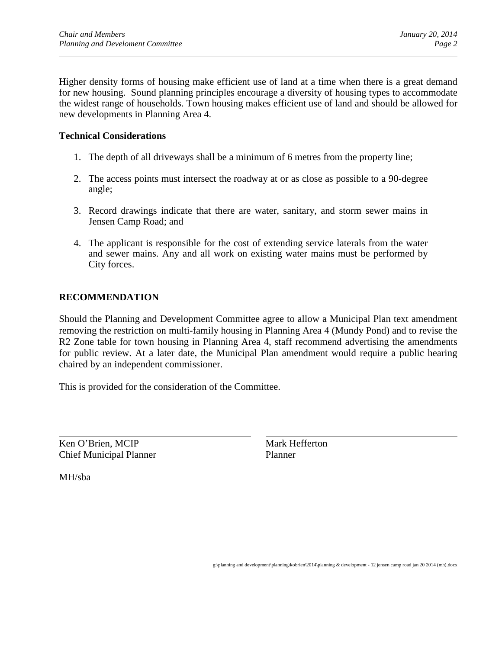Higher density forms of housing make efficient use of land at a time when there is a great demand for new housing. Sound planning principles encourage a diversity of housing types to accommodate the widest range of households. Town housing makes efficient use of land and should be allowed for new developments in Planning Area 4.

#### **Technical Considerations**

- 1. The depth of all driveways shall be a minimum of 6 metres from the property line;
- 2. The access points must intersect the roadway at or as close as possible to a 90-degree angle;
- 3. Record drawings indicate that there are water, sanitary, and storm sewer mains in Jensen Camp Road; and
- 4. The applicant is responsible for the cost of extending service laterals from the water and sewer mains. Any and all work on existing water mains must be performed by City forces.

#### **RECOMMENDATION**

Should the Planning and Development Committee agree to allow a Municipal Plan text amendment removing the restriction on multi-family housing in Planning Area 4 (Mundy Pond) and to revise the R2 Zone table for town housing in Planning Area 4, staff recommend advertising the amendments for public review. At a later date, the Municipal Plan amendment would require a public hearing chaired by an independent commissioner.

This is provided for the consideration of the Committee.

Ken O'Brien, MCIP Mark Hefferton Chief Municipal Planner Planner

MH/sba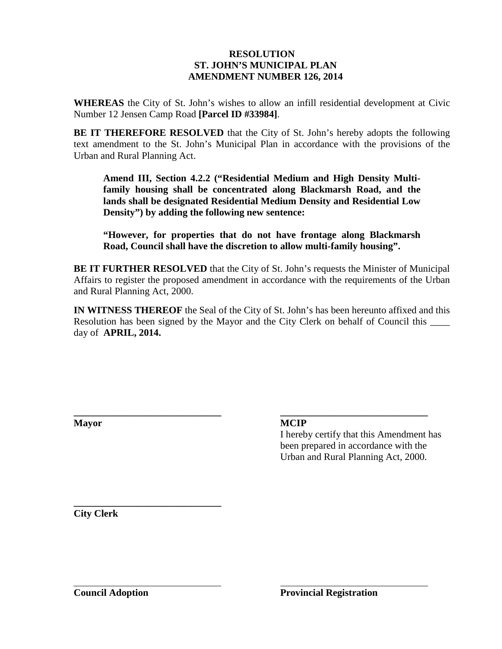#### **RESOLUTION ST. JOHN'S MUNICIPAL PLAN AMENDMENT NUMBER 126, 2014**

**WHEREAS** the City of St. John's wishes to allow an infill residential development at Civic Number 12 Jensen Camp Road **[Parcel ID #33984]**.

**BE IT THEREFORE RESOLVED** that the City of St. John's hereby adopts the following text amendment to the St. John's Municipal Plan in accordance with the provisions of the Urban and Rural Planning Act.

**Amend III, Section 4.2.2 ("Residential Medium and High Density Multifamily housing shall be concentrated along Blackmarsh Road, and the lands shall be designated Residential Medium Density and Residential Low Density") by adding the following new sentence:**

**"However, for properties that do not have frontage along Blackmarsh Road, Council shall have the discretion to allow multi-family housing".**

**BE IT FURTHER RESOLVED** that the City of St. John's requests the Minister of Municipal Affairs to register the proposed amendment in accordance with the requirements of the Urban and Rural Planning Act, 2000.

**IN WITNESS THEREOF** the Seal of the City of St. John's has been hereunto affixed and this Resolution has been signed by the Mayor and the City Clerk on behalf of Council this day of **APRIL, 2014.**

**\_\_\_\_\_\_\_\_\_\_\_\_\_\_\_\_\_\_\_\_\_\_\_\_\_\_\_\_\_\_ \_\_\_\_\_\_\_\_\_\_\_\_\_\_\_\_\_\_\_\_\_\_\_\_\_\_\_\_\_\_**

**Mayor MCIP**

I hereby certify that this Amendment has been prepared in accordance with the Urban and Rural Planning Act, 2000.

**\_\_\_\_\_\_\_\_\_\_\_\_\_\_\_\_\_\_\_\_\_\_\_\_\_\_\_\_\_\_ City Clerk**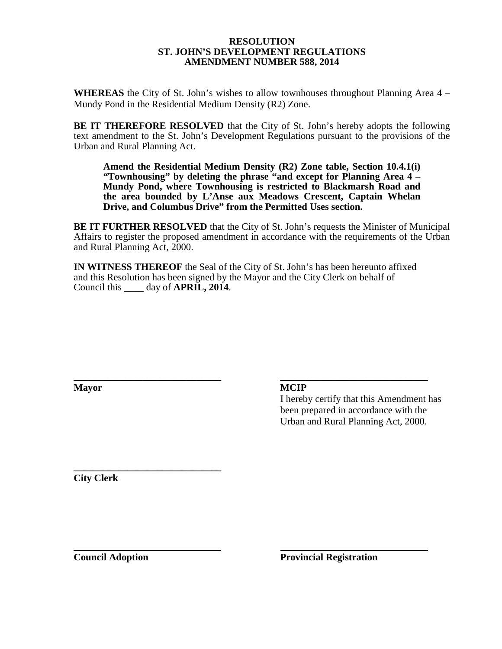#### **RESOLUTION ST. JOHN'S DEVELOPMENT REGULATIONS AMENDMENT NUMBER 588, 2014**

**WHEREAS** the City of St. John's wishes to allow townhouses throughout Planning Area 4 – Mundy Pond in the Residential Medium Density (R2) Zone.

**BE IT THEREFORE RESOLVED** that the City of St. John's hereby adopts the following text amendment to the St. John's Development Regulations pursuant to the provisions of the Urban and Rural Planning Act.

**Amend the Residential Medium Density (R2) Zone table, Section 10.4.1(i) "Townhousing" by deleting the phrase "and except for Planning Area 4 – Mundy Pond, where Townhousing is restricted to Blackmarsh Road and the area bounded by L'Anse aux Meadows Crescent, Captain Whelan Drive, and Columbus Drive" from the Permitted Uses section.**

**BE IT FURTHER RESOLVED** that the City of St. John's requests the Minister of Municipal Affairs to register the proposed amendment in accordance with the requirements of the Urban and Rural Planning Act, 2000.

**IN WITNESS THEREOF** the Seal of the City of St. John's has been hereunto affixed and this Resolution has been signed by the Mayor and the City Clerk on behalf of Council this **\_\_\_\_** day of **APRIL, 2014**.

**\_\_\_\_\_\_\_\_\_\_\_\_\_\_\_\_\_\_\_\_\_\_\_\_\_\_\_\_\_\_ \_\_\_\_\_\_\_\_\_\_\_\_\_\_\_\_\_\_\_\_\_\_\_\_\_\_\_\_\_\_**

**Mayor MCIP**

I hereby certify that this Amendment has been prepared in accordance with the Urban and Rural Planning Act, 2000.

**\_\_\_\_\_\_\_\_\_\_\_\_\_\_\_\_\_\_\_\_\_\_\_\_\_\_\_\_\_\_ City Clerk**

**Council Adoption Provincial Registration**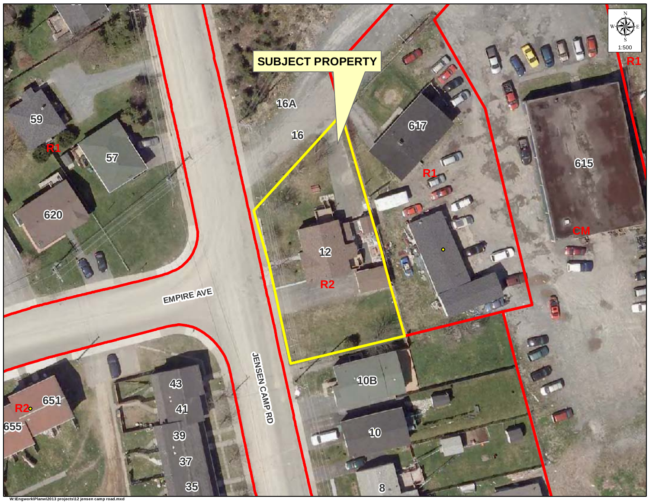